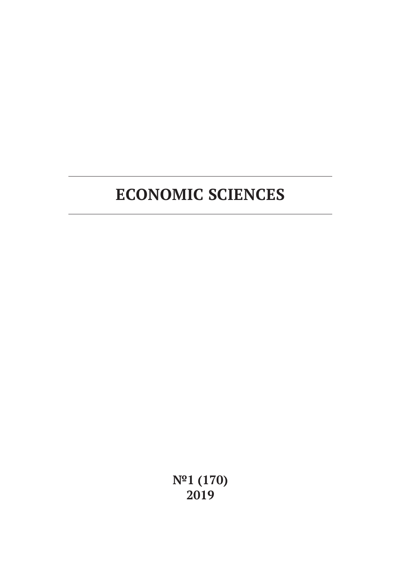**№1 (170) 2019**

# **ECONOMIC SCIENCES**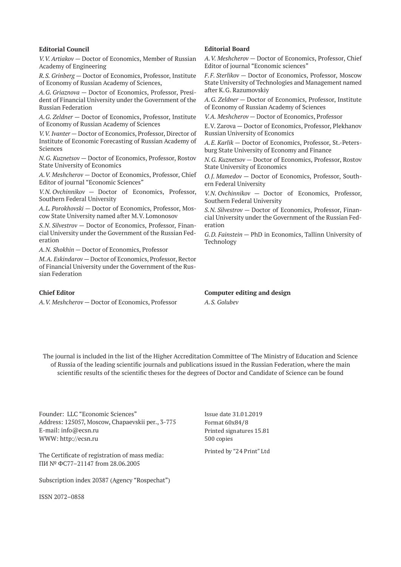#### **Editorial Council**

*V.V. Artiakov* — Doctor of Economics, Member of Russian Academy of Engineering

*R.S. Grinberg* — Doctor of Economics, Professor, Institute of Economy of Russian Academy of Sciences,

*A.G. Griaznova* — Doctor of Economics, Professor, President of Financial University under the Government of the Russian Federation

*A.G. Zeldner* — Doctor of Economics, Professor, Institute of Economy of Russian Academy of Sciences

*V.V. Ivanter* — Doctor of Economics, Professor, Director of Institute of Economic Forecasting of Russian Academy of Sciences

*N.G. Kuznetsov* — Doctor of Economics, Professor, Rostov State University of Economics

*A.V. Meshcherov* — Doctor of Economics, Professor, Chief Editor of journal "Economic Sciences"

*V.N. Ovchinnikov* — Doctor of Economics, Professor, Southern Federal University

*A.L. Porokhovski* — Doctor of Economics, Professor, Moscow State University named after M.V. Lomonosov

*S.N. Silvestrov* — Doctor of Economics, Professor, Financial University under the Government of the Russian Federation

*A.N. Shokhin* — Doctor of Economics, Professor

*M.A. Eskindarov* — Doctor of Economics, Professor, Rector of Financial University under the Government of the Russian Federation

#### **Chief Editor**

*A.V. Meshcherov* — Doctor of Economics, Professor

#### **Editorial Board**

*A.V. Meshcherov* — Doctor of Economics, Professor, Chief Editor of journal "Economic sciences"

*F.F. Sterlikov* — Doctor of Economics, Professor, Moscow State University of Technologies and Management named after K.G. Razumovskiy

*A.G. Zeldner* — Doctor of Economics, Professor, Institute of Economy of Russian Academy of Sciences

*V.A. Meshcherov* — Doctor of Economics, Professor

E.V. Zarova — Doctor of Economics, Professor, Plekhanov Russian University of Economics

*A.E. Karlik* — Doctor of Economics, Professor, St.-Petersburg State University of Economy and Finance

*N.G. Kuznetsov* — Doctor of Economics, Professor, Rostov State University of Economics

*O.J. Mamedov* — Doctor of Economics, Professor, Southern Federal University

*V.N. Ovchinnikov* — Doctor of Economics, Professor, Southern Federal University

*S.N. Silvestrov* — Doctor of Economics, Professor, Financial University under the Government of the Russian Federation

*G.D. Fainstein* — PhD in Economics, Tallinn University of Technology

**Computer editing and design** *A.S. Golubev*

The journal is included in the list of the Higher Accreditation Committee of The Ministry of Education and Science of Russia of the leading scientific journals and publications issued in the Russian Federation, where the main scientific results of the scientific theses for the degrees of Doctor and Candidate of Science can be found

Founder: LLC "Economic Sciences" Address: 125057, Moscow, Chapaevskii per., 3-775 E-mail: info@ecsn.ru WWW: http://ecsn.ru

The Certificate of registration of mass media: ПИ № ФС77–21147 from 28.06.2005

Subscription index 20387 (Agency "Rospechat")

ISSN 2072–0858

Issue date 31.01.2019 Format 60х84/8 Printed signatures 15.81 500 copies

Printed by "24 Print" Ltd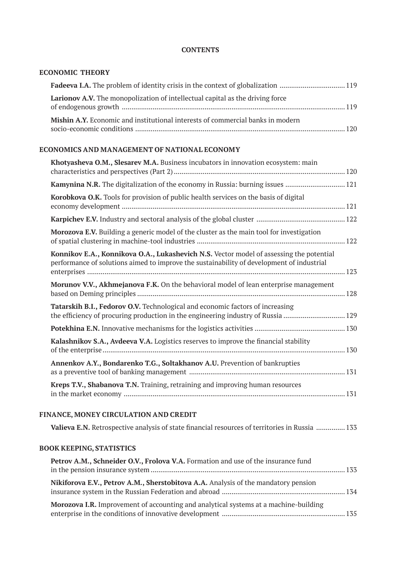## **CONTENTS**

## **ECONOMIC THEORY**

| <b>Larionov A.V.</b> The monopolization of intellectual capital as the driving force |  |
|--------------------------------------------------------------------------------------|--|
| Mishin A.Y. Economic and institutional interests of commercial banks in modern       |  |

## **ECONOMICS AND MANAGEMENT OF NATIONAL ECONOMY**

| Khotyasheva O.M., Slesarev M.A. Business incubators in innovation ecosystem: main                                                                                                    |  |
|--------------------------------------------------------------------------------------------------------------------------------------------------------------------------------------|--|
| Kamynina N.R. The digitalization of the economy in Russia: burning issues  121                                                                                                       |  |
| Korobkova O.K. Tools for provision of public health services on the basis of digital                                                                                                 |  |
|                                                                                                                                                                                      |  |
| Morozova E.V. Building a generic model of the cluster as the main tool for investigation                                                                                             |  |
| Konnikov E.A., Konnikova O.A., Lukashevich N.S. Vector model of assessing the potential<br>performance of solutions aimed to improve the sustainability of development of industrial |  |
| Morunov V.V., Akhmejanova F.K. On the behavioral model of lean enterprise management                                                                                                 |  |
| Tatarskih B.I., Fedorov O.V. Technological and economic factors of increasing<br>the efficiency of procuring production in the engineering industry of Russia 129                    |  |
|                                                                                                                                                                                      |  |
| Kalashnikov S.A., Avdeeva V.A. Logistics reserves to improve the financial stability                                                                                                 |  |
| Annenkov A.Y., Bondarenko T.G., Soltakhanov A.U. Prevention of bankrupties                                                                                                           |  |
| Kreps T.V., Shabanova T.N. Training, retraining and improving human resources                                                                                                        |  |

## **FINANCE, MONEY CIRCULATION AND CREDIT**

| Valieva E.N. Retrospective analysis of state financial resources of territories in Russia  133 |  |
|------------------------------------------------------------------------------------------------|--|
|------------------------------------------------------------------------------------------------|--|

# **BOOK KEEPING, STATISTICS**

| Petrov A.M., Schneider O.V., Frolova V.A. Formation and use of the insurance fund           |  |
|---------------------------------------------------------------------------------------------|--|
| Nikiforova E.V., Petrov A.M., Sherstobitova A.A. Analysis of the mandatory pension          |  |
| <b>Morozova I.R.</b> Improvement of accounting and analytical systems at a machine-building |  |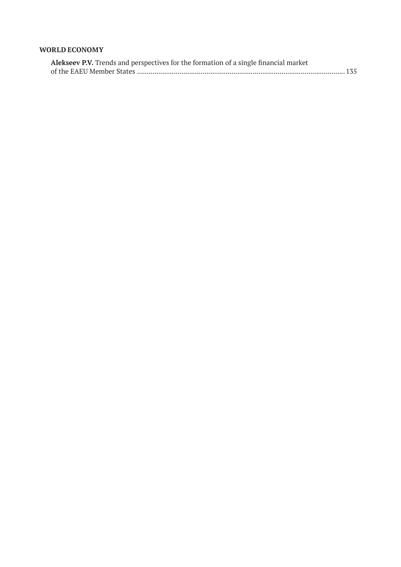## **WORLD ECONOMY**

| Alekseev P.V. Trends and perspectives for the formation of a single financial market |  |
|--------------------------------------------------------------------------------------|--|
|                                                                                      |  |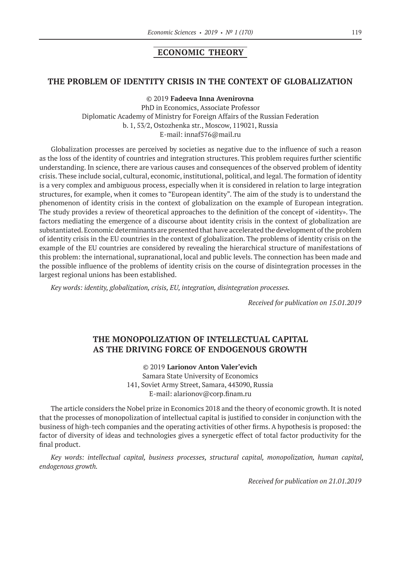## **ECONOMIC THEORY**

## **THE PROBLEM OF IDENTITY CRISIS IN THE CONTEXT OF GLOBALIZATION**

©© 2019 **Fadeeva Inna Avenirovna**

PhD in Economics, Associate Professor Diplomatic Academy of Ministry for Foreign Affairs of the Russian Federation b. 1, 53/2, Ostozhenka str., Moscow, 119021, Russia E‑mail: innaf576@mail.ru

Globalization processes are perceived by societies as negative due to the influence of such a reason as the loss of the identity of countries and integration structures. This problem requires further scientific understanding. In science, there are various causes and consequences of the observed problem of identity crisis. These include social, cultural, economic, institutional, political, and legal. The formation of identity is a very complex and ambiguous process, especially when it is considered in relation to large integration structures, for example, when it comes to "European identity". The aim of the study is to understand the phenomenon of identity crisis in the context of globalization on the example of European integration. The study provides a review of theoretical approaches to the definition of the concept of «identity». The factors mediating the emergence of a discourse about identity crisis in the context of globalization are substantiated. Economic determinants are presented that have accelerated the development of the problem of identity crisis in the EU countries in the context of globalization. The problems of identity crisis on the example of the EU countries are considered by revealing the hierarchical structure of manifestations of this problem: the international, supranational, local and public levels. The connection has been made and the possible influence of the problems of identity crisis on the course of disintegration processes in the largest regional unions has been established.

*Key words: identity, globalization, crisis, EU, integration, disintegration processes.*

*Received for publication on 15.01.2019*

# **THE MONOPOLIZATION OF INTELLECTUAL CAPITAL AS THE DRIVING FORCE OF ENDOGENOUS GROWTH**

©© 2019 **Larionov Anton Valer'evich** Samara State University of Economics 141, Soviet Army Street, Samara, 443090, Russia E‑mail: alarionov@corp.finam.ru

The article considers the Nobel prize in Economics 2018 and the theory of economic growth. It is noted that the processes of monopolization of intellectual capital is justified to consider in conjunction with the business of high-tech companies and the operating activities of other firms. A hypothesis is proposed: the factor of diversity of ideas and technologies gives a synergetic effect of total factor productivity for the final product.

*Key words: intellectual capital, business processes, structural capital, monopolization, human capital, endogenous growth.*

*Received for publication on 21.01.2019*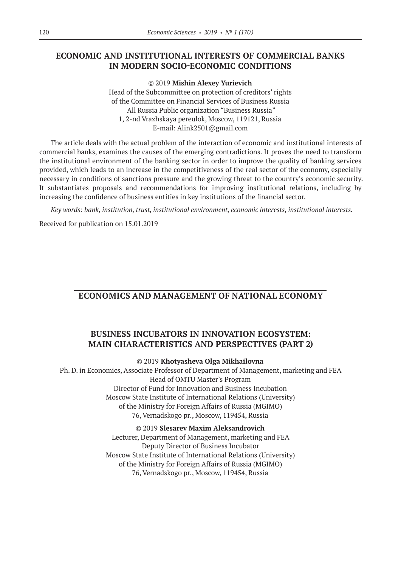## **ECONOMIC AND INSTITUTIONAL INTERESTS OF COMMERCIAL BANKS IN MODERN SOCIO-ECONOMIC CONDITIONS**

©© 2019 **Mishin Alexey Yurievich** Head of the Subcommittee on protection of creditors' rights of the Committee on Financial Services of Business Russia All Russia Public organization "Business Russia" 1, 2-nd Vrazhskaya pereulok, Moscow, 119121, Russia E‑mail: Alink2501@gmail.com

The article deals with the actual problem of the interaction of economic and institutional interests of commercial banks, examines the causes of the emerging contradictions. It proves the need to transform the institutional environment of the banking sector in order to improve the quality of banking services provided, which leads to an increase in the competitiveness of the real sector of the economy, especially necessary in conditions of sanctions pressure and the growing threat to the country's economic security. It substantiates proposals and recommendations for improving institutional relations, including by increasing the confidence of business entities in key institutions of the financial sector.

*Key words: bank, institution, trust, institutional environment, economic interests, institutional interests.*

Received for publication on 15.01.2019

# **ECONOMICS AND MANAGEMENT OF NATIONAL ECONOMY**

# **BUSINESS INCUBATORS IN INNOVATION ECOSYSTEM: MAIN CHARACTERISTICS AND PERSPECTIVES (PART 2)**

### ©© 2019 **Khotyasheva Olga Mikhailovna**

Ph. D. in Economics, Associate Professor of Department of Management, marketing and FEA Head of OMTU Master's Program Director of Fund for Innovation and Business Incubation Moscow State Institute of International Relations (University) of the Ministry for Foreign Affairs of Russia (MGIMO) 76, Vernadskogo pr., Moscow, 119454, Russia

> ©© 2019 **Slesarev Maxim Aleksandrovich** Lecturer, Department of Management, marketing and FEA Deputy Director of Business Incubator Moscow State Institute of International Relations (University) of the Ministry for Foreign Affairs of Russia (MGIMO) 76, Vernadskogo pr., Moscow, 119454, Russia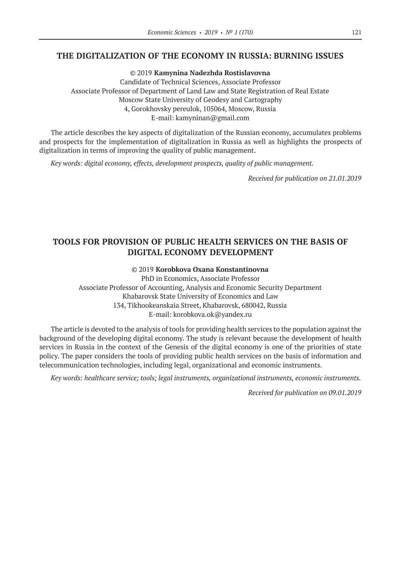## **THE DIGITALIZATION OF THE ECONOMY IN RUSSIA: BURNING ISSUES**

©© 2019 **Kamynina Nadezhda Rostislavovna** Candidate of Technical Sciences, Associate Professor Associate Professor of Department of Land Law and State Registration of Real Estate Moscow State University of Geodesy and Cartography 4, Gorokhovsky pereulok, 105064, Moscow, Russia Е‑mail: kamyninan@gmail.com

The article describes the key aspects of digitalization of the Russian economy, accumulates problems and prospects for the implementation of digitalization in Russia as well as highlights the prospects of digitalization in terms of improving the quality of public management.

*Key words: digital economy, effects, development prospects, quality of public management.*

*Received for publication on 21.01.2019*

# **TOOLS FOR PROVISION OF PUBLIC HEALTH SERVICES ON THE BASIS OF DIGITAL ECONOMY DEVELOPMENT**

### ©© 2019 **Korobkova Oxana Konstantinovna**

PhD in Economics, Associate Professor Associate Professor of Accounting, Analysis and Economic Security Department Khabarovsk State University of Economics and Law 134, Tikhookeanskaia Street, Khabarovsk, 680042, Russia E‑mail: korobkova.ok@yandex.ru

The article is devoted to the analysis of tools for providing health services to the population against the background of the developing digital economy. The study is relevant because the development of health services in Russia in the context of the Genesis of the digital economy is one of the priorities of state policy. The paper considers the tools of providing public health services on the basis of information and telecommunication technologies, including legal, organizational and economic instruments.

*Key words: healthcare service; tools; legal instruments, organizational instruments, economic instruments.*

*Received for publication on 09.01.2019*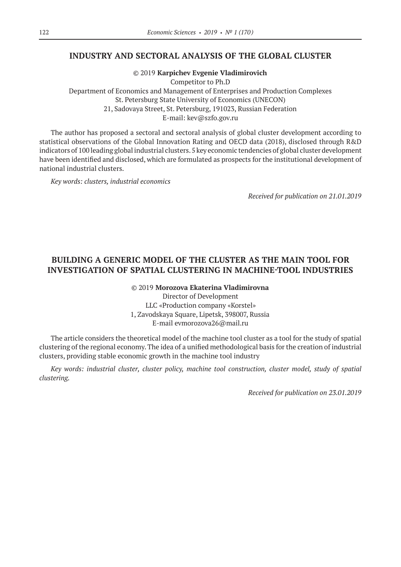## **INDUSTRY AND SECTORAL ANALYSIS OF THE GLOBAL CLUSTER**

©© 2019 **Karpichev Evgenie Vladimirovich** Competitor to Ph.D Department of Economics and Management of Enterprises and Production Complexes St. Petersburg State University of Economics (UNECON) 21, Sadovaya Street, St. Petersburg, 191023, Russian Federation E‑mail: kev@szfo.gov.ru

The author has proposed a sectoral and sectoral analysis of global cluster development according to statistical observations of the Global Innovation Rating and OECD data (2018), disclosed through R&D indicators of 100 leading global industrial clusters. 5 key economic tendencies of global cluster development have been identified and disclosed, which are formulated as prospects for the institutional development of national industrial clusters.

*Key words: clusters, industrial economics*

*Received for publication on 21.01.2019*

# **BUILDING A GENERIC MODEL OF THE CLUSTER AS THE MAIN TOOL FOR INVESTIGATION OF SPATIAL CLUSTERING IN MACHINE-TOOL INDUSTRIES**

©© 2019 **Morozova Ekaterina Vladimirovna**

Director of Development LLC «Production company «Korstel» 1, Zavodskaya Square, Lipetsk, 398007, Russia E‑mail evmorozova26@mail.ru

The article considers the theoretical model of the machine tool cluster as a tool for the study of spatial clustering of the regional economy. The idea of a unified methodological basis for the creation of industrial clusters, providing stable economic growth in the machine tool industry

*Key words: industrial cluster, cluster policy, machine tool construction, cluster model, study of spatial clustering.*

*Received for publication on 23.01.2019*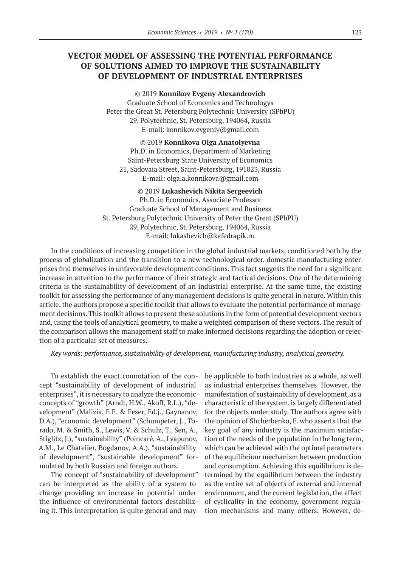# **VECTOR MODEL OF ASSESSING THE POTENTIAL PERFORMANCE OF SOLUTIONS AIMED TO IMPROVE THE SUSTAINABILITY OF DEVELOPMENT OF INDUSTRIAL ENTERPRISES**

©© 2019 **Konnikov Evgeny Alexandrovich** Graduate School of Economics and Technologys Peter the Great St. Petersburg Polytechnic University (SPbPU) 29, Polytechnic, St. Petersburg, 194064, Russia E‑mail: konnikov.evgeniy@gmail.com

©© 2019 **Konnikova Olga Anatolyevna**

Ph.D. in Economics, Department of Marketing Saint-Petersburg State University of Economics 21, Sadovaia Street, Saint-Petersburg, 191023, Russia E‑mail: olga.a.konnikova@gmail.com

©© 2019 **Lukashevich Nikita Sergeevich** Ph.D. in Economics, Associate Professor Graduate School of Management and Business St. Petersburg Polytechnic University of Peter the Great (SPbPU) 29, Polytechnic, St. Petersburg, 194064, Russia E‑mail: lukashevich@kafedrapik.ru

In the conditions of increasing competition in the global industrial markets, conditioned both by the process of globalization and the transition to a new technological order, domestic manufacturing enterprises find themselves in unfavorable development conditions. This fact suggests the need for a significant increase in attention to the performance of their strategic and tactical decisions. One of the determining criteria is the sustainability of development of an industrial enterprise. At the same time, the existing toolkit for assessing the performance of any management decisions is quite general in nature. Within this article, the authors propose a specific toolkit that allows to evaluate the potential performance of management decisions. This toolkit allows to present these solutions in the form of potential development vectors and, using the tools of analytical geometry, to make a weighted comparison of these vectors. The result of the comparison allows the management staff to make informed decisions regarding the adoption or rejection of a particular set of measures.

*Key words: performance, sustainability of development, manufacturing industry, analytical geometry.*

To establish the exact connotation of the concept "sustainability of development of industrial enterprises", it is necessary to analyze the economic concepts of "growth" (Arndt, H.W., Akoff, R.L.), "development" (Malizia, E.E. & Feser, Ed.j., Gaynanov, D.A.), "economic development" (Schumpeter, J., Torado, M. & Smith, S., Lewis, V. & Schulz, T., Sen, A., Stiglitz, J.), "sustainability" (Poincaré, A., Lyapunov, A.M., Le Chatelier, Bogdanov, A.A.), "sustainability of development", "sustainable development" formulated by both Russian and foreign authors.

The concept of "sustainability of development" can be interpreted as the ability of a system to change providing an increase in potential under the influence of environmental factors destabilizing it. This interpretation is quite general and may

be applicable to both industries as a whole, as well as industrial enterprises themselves. However, the manifestation of sustainability of development, as a characteristic of the system, is largely differentiated for the objects under study. The authors agree with the opinion of Shcherbenko, E. who asserts that the key goal of any industry is the maximum satisfaction of the needs of the population in the long term, which can be achieved with the optimal parameters of the equilibrium mechanism between production and consumption. Achieving this equilibrium is determined by the equilibrium between the industry as the entire set of objects of external and internal environment, and the current legislation, the effect of cyclicality in the economy, government regulation mechanisms and many others. However, de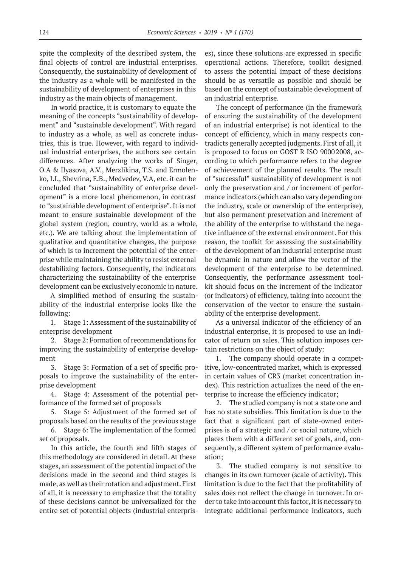spite the complexity of the described system, the final objects of control are industrial enterprises. Consequently, the sustainability of development of the industry as a whole will be manifested in the sustainability of development of enterprises in this industry as the main objects of management.

In world practice, it is customary to equate the meaning of the concepts "sustainability of development" and "sustainable development". With regard to industry as a whole, as well as concrete industries, this is true. However, with regard to individual industrial enterprises, the authors see certain differences. After analyzing the works of Singer, O.A & Ilyasova, A.V., Merzlikina, T.S. and Ermolenko, I.I., Shevrina, E.B., Medvedev, V.A, etc. it can be concluded that "sustainability of enterprise development" is a more local phenomenon, in contrast to "sustainable development of enterprise". It is not meant to ensure sustainable development of the global system (region, country, world as a whole, etc.). We are talking about the implementation of qualitative and quantitative changes, the purpose of which is to increment the potential of the enterprise while maintaining the ability to resist external destabilizing factors. Consequently, the indicators characterizing the sustainability of the enterprise development can be exclusively economic in nature.

A simplified method of ensuring the sustainability of the industrial enterprise looks like the following:

1. Stage 1: Assessment of the sustainability of enterprise development

2. Stage 2: Formation of recommendations for improving the sustainability of enterprise development

3. Stage 3: Formation of a set of specific proposals to improve the sustainability of the enterprise development

4. Stage 4: Assessment of the potential performance of the formed set of proposals

5. Stage 5: Adjustment of the formed set of proposals based on the results of the previous stage

6. Stage 6: The implementation of the formed set of proposals.

In this article, the fourth and fifth stages of this methodology are considered in detail. At these stages, an assessment of the potential impact of the decisions made in the second and third stages is made, as well as their rotation and adjustment. First of all, it is necessary to emphasize that the totality of these decisions cannot be universalized for the entire set of potential objects (industrial enterprises), since these solutions are expressed in specific operational actions. Therefore, toolkit designed to assess the potential impact of these decisions should be as versatile as possible and should be based on the concept of sustainable development of an industrial enterprise.

The concept of performance (in the framework of ensuring the sustainability of the development of an industrial enterprise) is not identical to the concept of efficiency, which in many respects contradicts generally accepted judgments. First of all, it is proposed to focus on GOST R ISO 90002008, according to which performance refers to the degree of achievement of the planned results. The result of "successful" sustainability of development is not only the preservation and / or increment of performance indicators (which can also vary depending on the industry, scale or ownership of the enterprise), but also permanent preservation and increment of the ability of the enterprise to withstand the negative influence of the external environment. For this reason, the toolkit for assessing the sustainability of the development of an industrial enterprise must be dynamic in nature and allow the vector of the development of the enterprise to be determined. Consequently, the performance assessment toolkit should focus on the increment of the indicator (or indicators) of efficiency, taking into account the conservation of the vector to ensure the sustainability of the enterprise development.

As a universal indicator of the efficiency of an industrial enterprise, it is proposed to use an indicator of return on sales. This solution imposes certain restrictions on the object of study:

1. The company should operate in a competitive, low-concentrated market, which is expressed in certain values of CR3 (market concentration index). This restriction actualizes the need of the enterprise to increase the efficiency indicator;

2. The studied company is not a state one and has no state subsidies. This limitation is due to the fact that a significant part of state-owned enterprises is of a strategic and / or social nature, which places them with a different set of goals, and, consequently, a different system of performance evaluation;

3. The studied company is not sensitive to changes in its own turnover (scale of activity). This limitation is due to the fact that the profitability of sales does not reflect the change in turnover. In order to take into account this factor, it is necessary to integrate additional performance indicators, such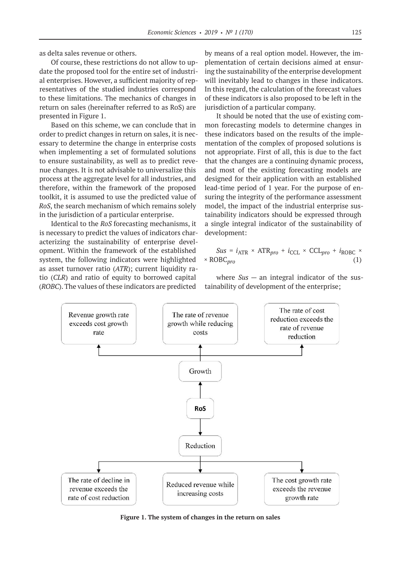as delta sales revenue or others.

Of course, these restrictions do not allow to update the proposed tool for the entire set of industrial enterprises. However, a sufficient majority of representatives of the studied industries correspond to these limitations. The mechanics of changes in return on sales (hereinafter referred to as RoS) are presented in Figure 1.

Based on this scheme, we can conclude that in order to predict changes in return on sales, it is necessary to determine the change in enterprise costs when implementing a set of formulated solutions to ensure sustainability, as well as to predict revenue changes. It is not advisable to universalize this process at the aggregate level for all industries, and therefore, within the framework of the proposed toolkit, it is assumed to use the predicted value of *RoS*, the search mechanism of which remains solely in the jurisdiction of a particular enterprise.

Identical to the *RoS* forecasting mechanisms, it is necessary to predict the values of indicators characterizing the sustainability of enterprise development. Within the framework of the established system, the following indicators were highlighted as asset turnover ratio (*ATR*); current liquidity ratio (*CLR*) and ratio of equity to borrowed capital (*ROBC*). The values of these indicators are predicted

by means of a real option model. However, the implementation of certain decisions aimed at ensuring the sustainability of the enterprise development will inevitably lead to changes in these indicators. In this regard, the calculation of the forecast values of these indicators is also proposed to be left in the jurisdiction of a particular company.

It should be noted that the use of existing common forecasting models to determine changes in these indicators based on the results of the implementation of the complex of proposed solutions is not appropriate. First of all, this is due to the fact that the changes are a continuing dynamic process, and most of the existing forecasting models are designed for their application with an established lead-time period of 1 year. For the purpose of ensuring the integrity of the performance assessment model, the impact of the industrial enterprise sustainability indicators should be expressed through a single integral indicator of the sustainability of development:

$$
Sus = i_{\text{ATR}} \times \text{ATR}_{pro} + i_{\text{CCL}} \times \text{CCL}_{pro} + i_{\text{ROBC}} \times \text{ROBC}_{pro}
$$
 (1)

where *Sus* — an integral indicator of the sustainability of development of the enterprise;



**Figure 1. The system of changes in the return on sales**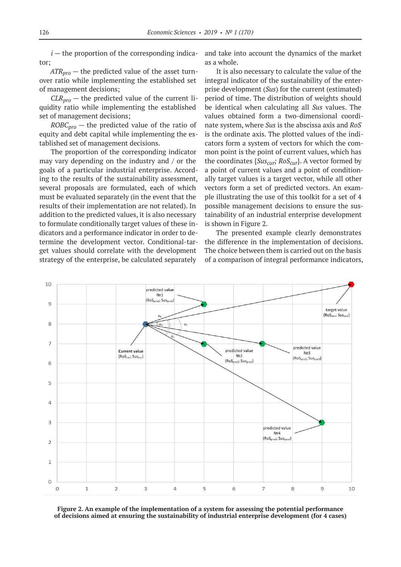$i$  — the proportion of the corresponding indicator;

 $ATR_{nro}$  — the predicted value of the asset turnover ratio while implementing the established set of management decisions;

 $CLR<sub>pro</sub>$  — the predicted value of the current liquidity ratio while implementing the established set of management decisions;

 $ROBC<sub>pro</sub>$  — the predicted value of the ratio of equity and debt capital while implementing the established set of management decisions.

The proportion of the corresponding indicator may vary depending on the industry and / or the goals of a particular industrial enterprise. According to the results of the sustainability assessment, several proposals are formulated, each of which must be evaluated separately (in the event that the results of their implementation are not related). In addition to the predicted values, it is also necessary to formulate conditionally target values of these indicators and a performance indicator in order to determine the development vector. Conditional-target values should correlate with the development strategy of the enterprise, be calculated separately

and take into account the dynamics of the market as a whole.

It is also necessary to calculate the value of the integral indicator of the sustainability of the enterprise development (*Sus*) for the current (estimated) period of time. The distribution of weights should be identical when calculating all *Sus* values. The values obtained form a two-dimensional coordinate system, where *Sus* is the abscissa axis and *RoS* is the ordinate axis. The plotted values of the indicators form a system of vectors for which the common point is the point of current values, which has the coordinates  ${Sus_{cur}}$ ;  $RoS_{cur}$ }. A vector formed by a point of current values and a point of conditionally target values is a target vector, while all other vectors form a set of predicted vectors. An example illustrating the use of this toolkit for a set of 4 possible management decisions to ensure the sustainability of an industrial enterprise development is shown in Figure 2.

The presented example clearly demonstrates the difference in the implementation of decisions. The choice between them is carried out on the basis of a comparison of integral performance indicators,



**Figure 2. An example of the implementation of a system for assessing the potential performance of decisions aimed at ensuring the sustainability of industrial enterprise development (for 4 cases)**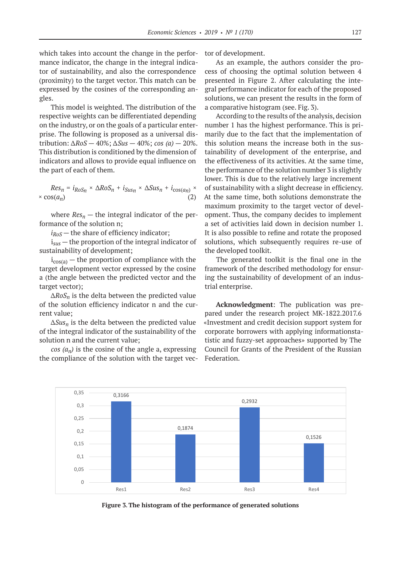which takes into account the change in the performance indicator, the change in the integral indicator of sustainability, and also the correspondence (proximity) to the target vector. This match can be expressed by the cosines of the corresponding angles.

This model is weighted. The distribution of the respective weights can be differentiated depending on the industry, or on the goals of a particular enterprise. The following is proposed as a universal distribution: *∆RoS* — 40%; *∆Sus* — 40%; *cos (a)* — 20%. This distribution is conditioned by the dimension of indicators and allows to provide equal influence on the part of each of them.

 $Res_n = i_{RoSn} \times \Delta RoS_n + i_{SUSn} \times \Delta Sus_n + i_{cos(an)} \times$  $\times$  cos( $a_n$ ) (2)

where  $Res_n$  – the integral indicator of the performance of the solution n;

 $i_{RoS}$  — the share of efficiency indicator;

i*sus* — the proportion of the integral indicator of sustainability of development;

 $i_{cos(a)}$  – the proportion of compliance with the target development vector expressed by the cosine a (the angle between the predicted vector and the target vector);

*ΔRoSn* is the delta between the predicted value of the solution efficiency indicator n and the current value;

*∆Susn* is the delta between the predicted value of the integral indicator of the sustainability of the solution n and the current value;

 $cos (a_n)$  is the cosine of the angle a, expressing the compliance of the solution with the target vector of development.

As an example, the authors consider the process of choosing the optimal solution between 4 presented in Figure 2. After calculating the integral performance indicator for each of the proposed solutions, we can present the results in the form of a comparative histogram (see. Fig. 3).

According to the results of the analysis, decision number 1 has the highest performance. This is primarily due to the fact that the implementation of this solution means the increase both in the sustainability of development of the enterprise, and the effectiveness of its activities. At the same time, the performance of the solution number 3 is slightly lower. This is due to the relatively large increment of sustainability with a slight decrease in efficiency. At the same time, both solutions demonstrate the maximum proximity to the target vector of development. Thus, the company decides to implement a set of activities laid down in decision number 1. It is also possible to refine and rotate the proposed solutions, which subsequently requires re-use of the developed toolkit.

The generated toolkit is the final one in the framework of the described methodology for ensuring the sustainability of development of an industrial enterprise.

**Acknowledgment**: The publication was prepared under the research project MK-1822.2017.6 «Investment and credit decision support system for corporate borrowers with applying informationstatistic and fuzzy-set approaches» supported by The Council for Grants of the President of the Russian Federation.



**Figure 3. The histogram of the performance of generated solutions**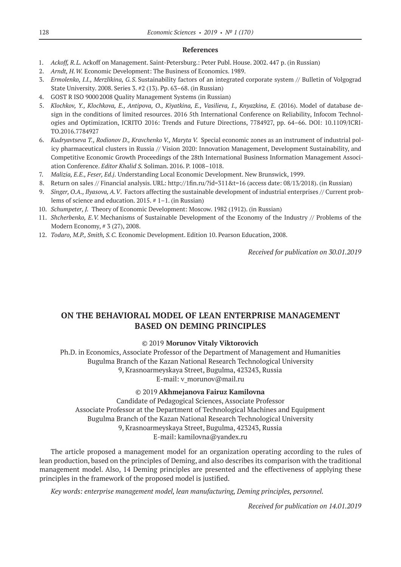#### **References**

- 1. *Ackoff, R.L.* Ackoff on Management. Saint-Petersburg.: Peter Publ. House. 2002. 447 p. (in Russian)
- 2. *Arndt, H.W.* Economic Development: The Business of Economics. 1989.
- 3. *Ermolenko, I.I., Merzlikina, G.S*. Sustainability factors of an integrated corporate system // Bulletin of Volgograd State University. 2008. Series 3. #2 (13). Pp. 63–68. (in Russian)
- 4. GOST R ISO 90002008 Quality Management Systems (in Russian)
- 5. *Klochkov, Y., Klochkova, E., Antipova, O., Kiyatkina, E., Vasilieva, I., Knyazkina, E.* (2016). Model of database design in the conditions of limited resources. 2016 5th International Conference on Reliability, Infocom Technologies and Optimization, ICRITO 2016: Trends and Future Directions, 7784927, pp. 64–66. DOI: 10.1109/ICRI-TO.2016.7784927
- 6. *Kudryavtseva T., Rodionov D., Kravchenko V., Maryta V.* Special economic zones as an instrument of industrial policy pharmaceutical clusters in Russia // Vision 2020: Innovation Management, Development Sustainability, and Competitive Economic Growth Proceedings of the 28th International Business Information Management Association Conference. *Editor Khalid S.* Soliman. 2016. P. 1008–1018.
- 7. *Malizia, E.E., Feser, Ed.j.* Understanding Local Economic Development. New Brunswick, 1999.
- 8. Return on sales // Financial analysis. URL: http://1fin.ru/?id=311&t=16 (access date: 08/13/2018). (in Russian)
- 9. *Singer, O.A., Ilyasova, A.V*. Factors affecting the sustainable development of industrial enterprises // Current problems of science and education. 2015. # 1–1. (in Russian)
- 10. *Schumpeter, J.* Theory of Economic Development: Moscow. 1982 (1912). (in Russian)
- 11. *Shcherbenko, E.V.* Mechanisms of Sustainable Development of the Economy of the Industry // Problems of the Modern Economy, # 3 (27), 2008.
- 12. *Todaro, M.P., Smith, S.C.* Economic Development. Edition 10. Pearson Education, 2008.

*Received for publication on 30.01.2019*

# **ON THE BEHAVIORAL MODEL OF LEAN ENTERPRISE MANAGEMENT BASED ON DEMING PRINCIPLES**

# ©© 2019 **Morunov Vitaly Viktorovich**

Ph.D. in Economics, Associate Professor of the Department of Management and Humanities Bugulma Branch of the Kazan National Research Technological University 9, Krasnoarmeyskaya Street, Bugulma, 423243, Russia E‑mail: v\_morunov@mail.ru

## ©© 2019 **Akhmejanova Fairuz Kamilovna**

Candidate of Pedagogical Sciences, Associate Professor Associate Professor at the Department of Technological Machines and Equipment Bugulma Branch of the Kazan National Research Technological University 9, Krasnoarmeyskaya Street, Bugulma, 423243, Russia E‑mail: kamilovna@yandex.ru

The article proposed a management model for an organization operating according to the rules of lean production, based on the principles of Deming, and also describes its comparison with the traditional management model. Also, 14 Deming principles are presented and the effectiveness of applying these principles in the framework of the proposed model is justified.

*Key words: enterprise management model, lean manufacturing, Deming principles, personnel.*

*Received for publication on 14.01.2019*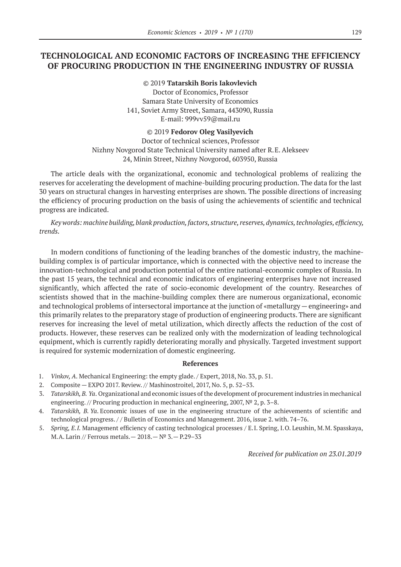# **TECHNOLOGICAL AND ECONOMIC FACTORS OF INCREASING THE EFFICIENCY OF PROCURING PRODUCTION IN THE ENGINEERING INDUSTRY OF RUSSIA**

©© 2019 **Tatarskih Boris Iakovlevich** Doctor of Economics, Professor Samara State University of Economics 141, Soviet Army Street, Samara, 443090, Russia E‑mail: 999vv59@mail.ru

#### ©© 2019 **Fedorov Oleg Vasilyevich**

Doctor of technical sciences, Professor Nizhny Novgorod State Technical University named after R.E. Alekseev 24, Minin Street, Nizhny Novgorod, 603950, Russia

The article deals with the organizational, economic and technological problems of realizing the reserves for accelerating the development of machine-building procuring production. The data for the last 30 years on structural changes in harvesting enterprises are shown. The possible directions of increasing the efficiency of procuring production on the basis of using the achievements of scientific and technical progress are indicated.

*Key words: machine building, blank production, factors, structure, reserves, dynamics, technologies, efficiency, trends.*

In modern conditions of functioning of the leading branches of the domestic industry, the machinebuilding complex is of particular importance, which is connected with the objective need to increase the innovation-technological and production potential of the entire national-economic complex of Russia. In the past 15 years, the technical and economic indicators of engineering enterprises have not increased significantly, which affected the rate of socio-economic development of the country. Researches of scientists showed that in the machine-building complex there are numerous organizational, economic and technological problems of intersectoral importance at the junction of «metallurgy — engineering» and this primarily relates to the preparatory stage of production of engineering products. There are significant reserves for increasing the level of metal utilization, which directly affects the reduction of the cost of products. However, these reserves can be realized only with the modernization of leading technological equipment, which is currently rapidly deteriorating morally and physically. Targeted investment support is required for systemic modernization of domestic engineering.

#### **References**

- 1. *Vinkov, A*. Mechanical Engineering: the empty glade. / Expert, 2018, No. 33, p. 51.
- 2. Composite EXPO 2017. Review. // Mashinostroitel, 2017, No. 5, p. 52–53.
- 3. *Tatarskikh, B. Ya*. Organizational and economic issues of the development of procurement industries in mechanical engineering. // Procuring production in mechanical engineering, 2007, № 2, p. 3–8.
- 4. *Tatarskikh, B. Ya*. Economic issues of use in the engineering structure of the achievements of scientific and technological progress. / / Bulletin of Economics and Management. 2016, issue 2. with. 74–76.
- 5. *Spring, E.I.* Management efficiency of casting technological processes / E.I. Spring, I.O. Leushin, M.M. Spasskaya, M.A. Larin // Ferrous metals.— 2018.— № 3.— P.29–33

*Received for publication on 23.01.2019*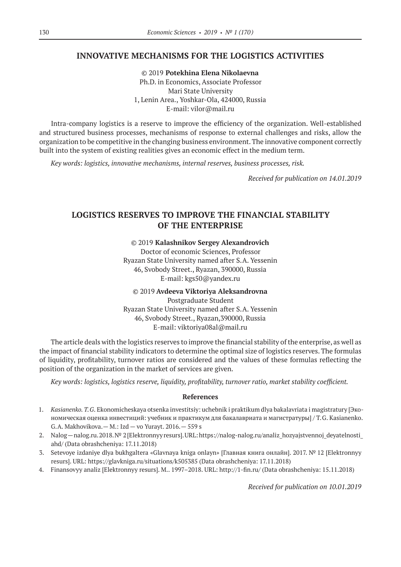## **INNOVATIVE MECHANISMS FOR THE LOGISTICS ACTIVITIES**

©© 2019 **Potekhina Elena Nikolaevna** Ph.D. in Economics, Associate Professor Mari State University 1, Lenin Area., Yoshkar-Ola, 424000, Russia E‑mail: vilor@mail.ru

Intra-company logistics is a reserve to improve the efficiency of the organization. Well-established and structured business processes, mechanisms of response to external challenges and risks, allow the organization to be competitive in the changing business environment. The innovative component correctly built into the system of existing realities gives an economic effect in the medium term.

*Key words: logistics, innovative mechanisms, internal reserves, business processes, risk.*

*Received for publication on 14.01.2019*

## **LOGISTICS RESERVES TO IMPROVE THE FINANCIAL STABILITY OF THE ENTERPRISE**

#### ©© 2019 **Kalashnikov Sergey Alexandrovich**

Doctor of economic Sciences, Professor Ryazan State University named after S.A. Yessenin 46, Svobody Street., Ryazan, 390000, Russia Е‑mail: kgs50@yandex.ru

#### ©© 2019 **Avdeeva Viktoriya Aleksandrovna**

Postgraduate Student Ryazan State University named after S.A. Yessenin 46, Svobody Street., Ryazan,390000, Russia Е‑mail: viktoriya08al@mail.ru

The article deals with the logistics reserves to improve the financial stability of the enterprise, as well as the impact of financial stability indicators to determine the optimal size of logistics reserves. The formulas of liquidity, profitability, turnover ratios are considered and the values of these formulas reflecting the position of the organization in the market of services are given.

*Key words: logistics, logistics reserve, liquidity, profitability, turnover ratio, market stability coefficient.*

#### **References**

- 1. *Kasianenko. T.G*. Ekonomicheskaya otsenka investitsiy: uchebnik i praktikum dlya bakalavriata i magistratury [Экономическая оценка инвестиций: учебник и практикум для бакалавриата и магистратуры] / T.G. Kasianenko. G.A. Makhovikova.— M.: Izd — vo Yurayt. 2016.— 559 s
- 2. Nalog—nalog.ru. 2018. № 2 [Elektronnyy resurs]. URL: https://nalog-nalog.ru/analiz\_hozyajstvennoj\_deyatelnosti\_ ahd/ (Data obrashcheniya: 17.11.2018)
- 3. Setevoye izdaniye dlya bukhgaltera «Glavnaya kniga onlayn» [Главная книга онлайн]. 2017. № 12 [Elektronnyy resurs]. URL: https://glavkniga.ru/situations/k505385 (Data obrashcheniya: 17.11.2018)
- 4. Finansovyy analiz [Elektronnyy resurs]. M.. 1997–2018. URL: http://1-fin.ru/ (Data obrashcheniya: 15.11.2018)

*Received for publication on 10.01.2019*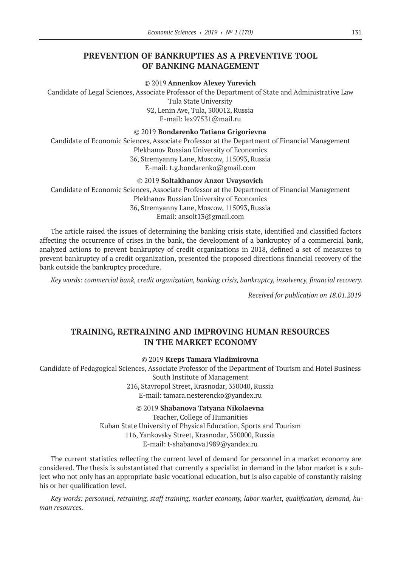## **PREVENTION OF BANKRUPTIES AS A PREVENTIVE TOOL OF BANKING MANAGEMENT**

©© 2019 **Annenkov Alexey Yurevich**

Candidate of Legal Sciences, Associate Professor of the Department of State and Administrative Law

Tula State University

92, Lenin Ave, Tula, 300012, Russia E‑mail: lex97531@mail.ru

©© 2019 **Bondarenko Tatiana Grigorievna**

Candidate of Economic Sciences, Associate Professor at the Department of Financial Management Plekhanov Russian University of Economics 36, Stremyanny Lane, Moscow, 115093, Russia E‑mail: t.g.bondarenko@gmail.com

#### ©© 2019 **Soltakhanov Anzor Uvaysovich**

Candidate of Economic Sciences, Associate Professor at the Department of Financial Management Plekhanov Russian University of Economics

36, Stremyanny Lane, Moscow, 115093, Russia Email: ansolt13@gmail.com

The article raised the issues of determining the banking crisis state, identified and classified factors affecting the occurrence of crises in the bank, the development of a bankruptcy of a commercial bank, analyzed actions to prevent bankruptcy of credit organizations in 2018, defined a set of measures to prevent bankruptcy of a credit organization, presented the proposed directions financial recovery of the bank outside the bankruptcy procedure.

*Key words: commercial bank, credit organization, banking crisis, bankruptcy, insolvency, financial recovery.*

*Received for publication on 18.01.2019*

## **TRAINING, RETRAINING AND IMPROVING HUMAN RESOURCES IN THE MARKET ECONOMY**

#### ©© 2019 **Kreps Tamara Vladimirovna**

Candidate of Pedagogical Sciences, Associate Professor of the Department of Tourism and Hotel Business South Institute of Management 216, Stavropol Street, Krasnodar, 350040, Russia E‑mail: tamara.nesterencko@yandex.ru

©© 2019 **Shabanova Tatyana Nikolaevna**

Teacher, College of Humanities Kuban State University of Physical Education, Sports and Tourism 116, Yankovsky Street, Krasnodar, 350000, Russia E‑mail: t-shabanova1989@yandex.ru

The current statistics reflecting the current level of demand for personnel in a market economy are considered. The thesis is substantiated that currently a specialist in demand in the labor market is a subject who not only has an appropriate basic vocational education, but is also capable of constantly raising his or her qualification level.

*Key words: personnel, retraining, staff training, market economy, labor market, qualification, demand, human resources.*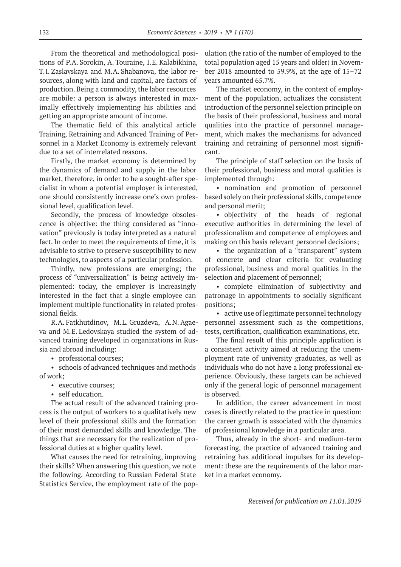From the theoretical and methodological positions of P.A. Sorokin, A. Touraine, I.E. Kalabikhina, T.I. Zaslavskaya and M.A. Shabanova, the labor resources, along with land and capital, are factors of production. Being a commodity, the labor resources are mobile: a person is always interested in maximally effectively implementing his abilities and getting an appropriate amount of income.

The thematic field of this analytical article Training, Retraining and Advanced Training of Personnel in a Market Economy is extremely relevant due to a set of interrelated reasons.

Firstly, the market economy is determined by the dynamics of demand and supply in the labor market, therefore, in order to be a sought-after specialist in whom a potential employer is interested, one should consistently increase one's own professional level, qualification level.

Secondly, the process of knowledge obsolescence is objective: the thing considered as "innovation" previously is today interpreted as a natural fact. In order to meet the requirements of time, it is advisable to strive to preserve susceptibility to new technologies, to aspects of a particular profession.

Thirdly, new professions are emerging; the process of "universalization" is being actively implemented: today, the employer is increasingly interested in the fact that a single employee can implement multiple functionality in related professional fields.

R.A. Fatkhutdinov, M.L. Gruzdeva, A.N. Agaeva and M.E. Ledovskaya studied the system of advanced training developed in organizations in Russia and abroad including:

• professional courses;

• schools of advanced techniques and methods of work;

- executive courses;
- self education.

The actual result of the advanced training process is the output of workers to a qualitatively new level of their professional skills and the formation of their most demanded skills and knowledge. The things that are necessary for the realization of professional duties at a higher quality level.

What causes the need for retraining, improving their skills? When answering this question, we note the following. According to Russian Federal State Statistics Service, the employment rate of the population (the ratio of the number of employed to the total population aged 15 years and older) in November 2018 amounted to 59.9%, at the age of 15–72 years amounted 65.7%.

The market economy, in the context of employment of the population, actualizes the consistent introduction of the personnel selection principle on the basis of their professional, business and moral qualities into the practice of personnel management, which makes the mechanisms for advanced training and retraining of personnel most significant.

The principle of staff selection on the basis of their professional, business and moral qualities is implemented through:

• nomination and promotion of personnel based solely on their professional skills, competence and personal merit;

• objectivity of the heads of regional executive authorities in determining the level of professionalism and competence of employees and making on this basis relevant personnel decisions;

• the organization of a "transparent" system of concrete and clear criteria for evaluating professional, business and moral qualities in the selection and placement of personnel;

• complete elimination of subjectivity and patronage in appointments to socially significant positions;

• active use of legitimate personnel technology personnel assessment such as the competitions, tests, certification, qualification examinations, etc.

The final result of this principle application is a consistent activity aimed at reducing the unemployment rate of university graduates, as well as individuals who do not have a long professional experience. Obviously, these targets can be achieved only if the general logic of personnel management is observed.

In addition, the career advancement in most cases is directly related to the practice in question: the career growth is associated with the dynamics of professional knowledge in a particular area.

Thus, already in the short- and medium-term forecasting, the practice of advanced training and retraining has additional impulses for its development: these are the requirements of the labor market in a market economy.

*Received for publication on 11.01.2019*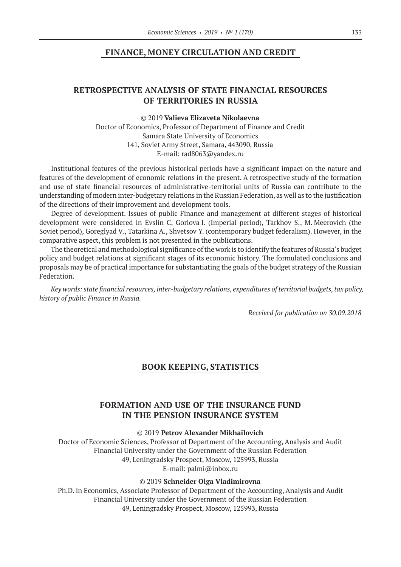## **FINANCE, MONEY CIRCULATION AND CREDIT**

## **RETROSPECTIVE ANALYSIS OF STATE FINANCIAL RESOURCES OF TERRITORIES IN RUSSIA**

#### ©© 2019 **Valieva Elizaveta Nikolaevna**

Doctor of Economics, Professor of Department of Finance and Credit Samara State University of Economics 141, Soviet Army Street, Samara, 443090, Russia E‑mail: rad8063@yandex.ru

Institutional features of the previous historical periods have a significant impact on the nature and features of the development of economic relations in the present. A retrospective study of the formation and use of state financial resources of administrative-territorial units of Russia can contribute to the understanding of modern inter-budgetary relations in the Russian Federation, as well as to the justification of the directions of their improvement and development tools.

Degree of development. Issues of public Finance and management at different stages of historical development were considered in Evslin C, Gorlova I. (Imperial period), Tarkhov S., M. Meerovich (the Soviet period), Goreglyad V., Tatarkina A., Shvetsov Y. (contemporary budget federalism). However, in the comparative aspect, this problem is not presented in the publications.

The theoretical and methodological significance of the work is to identify the features of Russia's budget policy and budget relations at significant stages of its economic history. The formulated conclusions and proposals may be of practical importance for substantiating the goals of the budget strategy of the Russian Federation.

*Key words: state financial resources, inter-budgetary relations, expenditures of territorial budgets, tax policy, history of public Finance in Russia.*

*Received for publication on 30.09.2018*

## **BOOK KEEPING, STATISTICS**

# **FORMATION AND USE OF THE INSURANCE FUND IN THE PENSION INSURANCE SYSTEM**

©© 2019 **Petrov Alexander Mikhailovich**

Doctor of Economic Sciences, Professor of Department of the Accounting, Analysis and Audit Financial University under the Government of the Russian Federation 49, Leningradsky Prospect, Moscow, 125993, Russia E‑mail: palmi@inbox.ru

#### ©© 2019 **Schneider Olga Vladimirovna**

Ph.D. in Economics, Associate Professor of Department of the Accounting, Analysis and Audit Financial University under the Government of the Russian Federation 49, Leningradsky Prospect, Moscow, 125993, Russia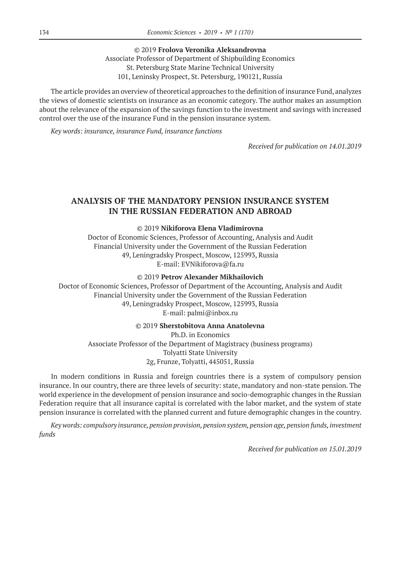©© 2019 **Frolova Veronika Aleksandrovna** Associate Professor of Department of Shipbuilding Economics St. Petersburg State Marine Technical University 101, Leninsky Prospect, St. Petersburg, 190121, Russia

The article provides an overview of theoretical approaches to the definition of insurance Fund, analyzes the views of domestic scientists on insurance as an economic category. The author makes an assumption about the relevance of the expansion of the savings function to the investment and savings with increased control over the use of the insurance Fund in the pension insurance system.

*Key words: insurance, insurance Fund, insurance functions*

*Received for publication on 14.01.2019*

# **ANALYSIS OF THE MANDATORY PENSION INSURANCE SYSTEM IN THE RUSSIAN FEDERATION AND ABROAD**

#### ©© 2019 **Nikiforova Elena Vladimirovna**

Doctor of Economic Sciences, Professor of Accounting, Analysis and Audit Financial University under the Government of the Russian Federation 49, Leningradsky Prospect, Moscow, 125993, Russia E‑mail: EVNikiforova@fa.ru

#### ©© 2019 **Petrov Alexander Mikhailovich**

Doctor of Economic Sciences, Professor of Department of the Accounting, Analysis and Audit Financial University under the Government of the Russian Federation 49, Leningradsky Prospect, Moscow, 125993, Russia E‑mail: palmi@inbox.ru

#### ©© 2019 **Sherstobitova Anna Anatolevna**

Ph.D. in Economics Associate Professor of the Department of Magistracy (business programs) Tolyatti State University 2g, Frunze, Tolyatti, 445051, Russia

In modern conditions in Russia and foreign countries there is a system of compulsory pension insurance. In our country, there are three levels of security: state, mandatory and non-state pension. The world experience in the development of pension insurance and socio-demographic changes in the Russian Federation require that all insurance capital is correlated with the labor market, and the system of state pension insurance is correlated with the planned current and future demographic changes in the country.

*Key words: compulsory insurance, pension provision, pension system, pension age, pension funds, investment funds*

*Received for publication on 15.01.2019*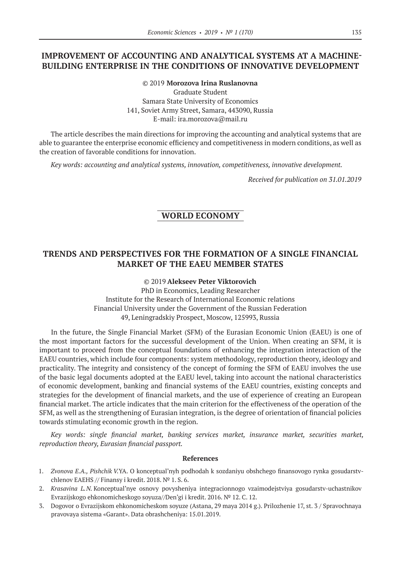# **IMPROVEMENT OF ACCOUNTING AND ANALYTICAL SYSTEMS AT A MACHINE-BUILDING ENTERPRISE IN THE CONDITIONS OF INNOVATIVE DEVELOPMENT**

©© 2019 **Morozova Irina Ruslanovna** Graduate Student Samara State University of Economics 141, Soviet Army Street, Samara, 443090, Russia E‑mail: ira.morozova@mail.ru

The article describes the main directions for improving the accounting and analytical systems that are able to guarantee the enterprise economic efficiency and competitiveness in modern conditions, as well as the creation of favorable conditions for innovation.

*Key words: accounting and analytical systems, innovation, competitiveness, innovative development.*

*Received for publication on 31.01.2019*

# **WORLD ECONOMY**

## **TRENDS AND PERSPECTIVES FOR THE FORMATION OF A SINGLE FINANCIAL MARKET OF THE EAEU MEMBER STATES**

©© 2019 **Alekseev Petеr Viktorovich**

PhD in Economics, Leading Researcher Institute for the Research of International Economic relations Financial University under the Government of the Russian Federation 49, Leningradskiy Prospect, Moscow, 125993, Russia

In the future, the Single Financial Market (SFM) of the Eurasian Economic Union (EAEU) is one of the most important factors for the successful development of the Union. When creating an SFM, it is important to proceed from the conceptual foundations of enhancing the integration interaction of the EAEU countries, which include four components: system methodology, reproduction theory, ideology and practicality. The integrity and consistency of the concept of forming the SFM of EAEU involves the use of the basic legal documents adopted at the EAEU level, taking into account the national characteristics of economic development, banking and financial systems of the EAEU countries, existing concepts and strategies for the development of financial markets, and the use of experience of creating an European financial market. The article indicates that the main criterion for the effectiveness of the operation of the SFM, as well as the strengthening of Eurasian integration, is the degree of orientation of financial policies towards stimulating economic growth in the region.

*Key words: single financial market, banking services market, insurance market, securities market, reproduction theory, Eurasian financial passport.*

#### **References**

- 1. *Zvonova E.A., Pishchik V.*YA. O konceptual'nyh podhodah k sozdaniyu obshchego finansovogo rynka gosudarstvchlenov EAEHS // Finansy i kredit. 2018. № 1. S. 6.
- 2. *Krasavina L.N.* Konceptual'nye osnovy povysheniya integracionnogo vzaimodejstviya gosudarstv-uchastnikov Evrazijskogo ehkonomicheskogo soyuza//Den'gi i kredit. 2016. № 12. C. 12.
- 3. Dogovor o Evrazijskom ehkonomicheskom soyuze (Astana, 29 maya 2014 g.). Prilozhenie 17, st. 3 / Spravochnaya pravovaya sistema «Garant». Data obrashcheniya: 15.01.2019.